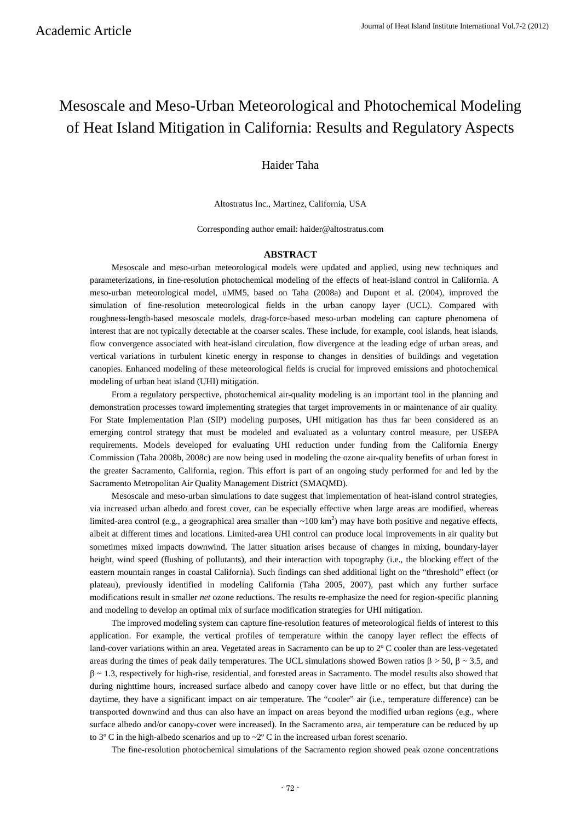# Mesoscale and Meso-Urban Meteorological and Photochemical Modeling of Heat Island Mitigation in California: Results and Regulatory Aspects

# Haider Taha

Altostratus Inc., Martinez, California, USA

Corresponding author email: haider@altostratus.com

#### **ABSTRACT**

Mesoscale and meso-urban meteorological models were updated and applied, using new techniques and parameterizations, in fine-resolution photochemical modeling of the effects of heat-island control in California. A meso-urban meteorological model, uMM5, based on Taha (2008a) and Dupont et al. (2004), improved the simulation of fine-resolution meteorological fields in the urban canopy layer (UCL). Compared with roughness-length-based mesoscale models, drag-force-based meso-urban modeling can capture phenomena of interest that are not typically detectable at the coarser scales. These include, for example, cool islands, heat islands, flow convergence associated with heat-island circulation, flow divergence at the leading edge of urban areas, and vertical variations in turbulent kinetic energy in response to changes in densities of buildings and vegetation canopies. Enhanced modeling of these meteorological fields is crucial for improved emissions and photochemical modeling of urban heat island (UHI) mitigation.

From a regulatory perspective, photochemical air-quality modeling is an important tool in the planning and demonstration processes toward implementing strategies that target improvements in or maintenance of air quality. For State Implementation Plan (SIP) modeling purposes, UHI mitigation has thus far been considered as an emerging control strategy that must be modeled and evaluated as a voluntary control measure, per USEPA requirements. Models developed for evaluating UHI reduction under funding from the California Energy Commission (Taha 2008b, 2008c) are now being used in modeling the ozone air-quality benefits of urban forest in the greater Sacramento, California, region. This effort is part of an ongoing study performed for and led by the Sacramento Metropolitan Air Quality Management District (SMAQMD).

Mesoscale and meso-urban simulations to date suggest that implementation of heat-island control strategies, via increased urban albedo and forest cover, can be especially effective when large areas are modified, whereas limited-area control (e.g., a geographical area smaller than  $\sim 100 \text{ km}^2$ ) may have both positive and negative effects, albeit at different times and locations. Limited-area UHI control can produce local improvements in air quality but sometimes mixed impacts downwind. The latter situation arises because of changes in mixing, boundary-layer height, wind speed (flushing of pollutants), and their interaction with topography (i.e., the blocking effect of the eastern mountain ranges in coastal California). Such findings can shed additional light on the "threshold" effect (or plateau), previously identified in modeling California (Taha 2005, 2007), past which any further surface modifications result in smaller *net* ozone reductions. The results re-emphasize the need for region-specific planning and modeling to develop an optimal mix of surface modification strategies for UHI mitigation.

The improved modeling system can capture fine-resolution features of meteorological fields of interest to this application. For example, the vertical profiles of temperature within the canopy layer reflect the effects of land-cover variations within an area. Vegetated areas in Sacramento can be up to 2º C cooler than are less-vegetated areas during the times of peak daily temperatures. The UCL simulations showed Bowen ratios  $β > 50$ ,  $β \sim 3.5$ , and β ~ 1.3, respectively for high-rise, residential, and forested areas in Sacramento. The model results also showed that during nighttime hours, increased surface albedo and canopy cover have little or no effect, but that during the daytime, they have a significant impact on air temperature. The "cooler" air (i.e., temperature difference) can be transported downwind and thus can also have an impact on areas beyond the modified urban regions (e.g., where surface albedo and/or canopy-cover were increased). In the Sacramento area, air temperature can be reduced by up to  $3^{\circ}$  C in the high-albedo scenarios and up to  $\sim$  2 $^{\circ}$  C in the increased urban forest scenario.

The fine-resolution photochemical simulations of the Sacramento region showed peak ozone concentrations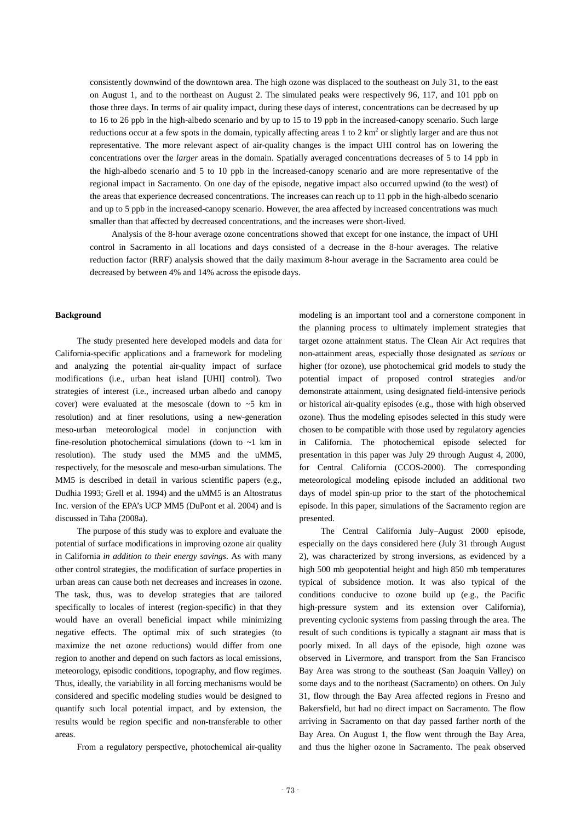consistently downwind of the downtown area. The high ozone was displaced to the southeast on July 31, to the east on August 1, and to the northeast on August 2. The simulated peaks were respectively 96, 117, and 101 ppb on those three days. In terms of air quality impact, during these days of interest, concentrations can be decreased by up to 16 to 26 ppb in the high-albedo scenario and by up to 15 to 19 ppb in the increased-canopy scenario. Such large reductions occur at a few spots in the domain, typically affecting areas 1 to 2 km<sup>2</sup> or slightly larger and are thus not representative. The more relevant aspect of air-quality changes is the impact UHI control has on lowering the concentrations over the *larger* areas in the domain. Spatially averaged concentrations decreases of 5 to 14 ppb in the high-albedo scenario and 5 to 10 ppb in the increased-canopy scenario and are more representative of the regional impact in Sacramento. On one day of the episode, negative impact also occurred upwind (to the west) of the areas that experience decreased concentrations. The increases can reach up to 11 ppb in the high-albedo scenario and up to 5 ppb in the increased-canopy scenario. However, the area affected by increased concentrations was much smaller than that affected by decreased concentrations, and the increases were short-lived.

Analysis of the 8-hour average ozone concentrations showed that except for one instance, the impact of UHI control in Sacramento in all locations and days consisted of a decrease in the 8-hour averages. The relative reduction factor (RRF) analysis showed that the daily maximum 8-hour average in the Sacramento area could be decreased by between 4% and 14% across the episode days.

# **Background**

The study presented here developed models and data for California-specific applications and a framework for modeling and analyzing the potential air-quality impact of surface modifications (i.e., urban heat island [UHI] control). Two strategies of interest (i.e., increased urban albedo and canopy cover) were evaluated at the mesoscale (down to  $\sim$  5 km in resolution) and at finer resolutions, using a new-generation meso-urban meteorological model in conjunction with fine-resolution photochemical simulations (down to ~1 km in resolution). The study used the MM5 and the uMM5, respectively, for the mesoscale and meso-urban simulations. The MM5 is described in detail in various scientific papers (e.g., Dudhia 1993; Grell et al. 1994) and the uMM5 is an Altostratus Inc. version of the EPA's UCP MM5 (DuPont et al. 2004) and is discussed in Taha (2008a).

The purpose of this study was to explore and evaluate the potential of surface modifications in improving ozone air quality in California *in addition to their energy savings*. As with many other control strategies, the modification of surface properties in urban areas can cause both net decreases and increases in ozone. The task, thus, was to develop strategies that are tailored specifically to locales of interest (region-specific) in that they would have an overall beneficial impact while minimizing negative effects. The optimal mix of such strategies (to maximize the net ozone reductions) would differ from one region to another and depend on such factors as local emissions, meteorology, episodic conditions, topography, and flow regimes. Thus, ideally, the variability in all forcing mechanisms would be considered and specific modeling studies would be designed to quantify such local potential impact, and by extension, the results would be region specific and non-transferable to other areas.

From a regulatory perspective, photochemical air-quality

modeling is an important tool and a cornerstone component in the planning process to ultimately implement strategies that target ozone attainment status. The Clean Air Act requires that non-attainment areas, especially those designated as *serious* or higher (for ozone), use photochemical grid models to study the potential impact of proposed control strategies and/or demonstrate attainment, using designated field-intensive periods or historical air-quality episodes (e.g., those with high observed ozone). Thus the modeling episodes selected in this study were chosen to be compatible with those used by regulatory agencies in California. The photochemical episode selected for presentation in this paper was July 29 through August 4, 2000, for Central California (CCOS-2000). The corresponding meteorological modeling episode included an additional two days of model spin-up prior to the start of the photochemical episode. In this paper, simulations of the Sacramento region are presented.

The Central California July–August 2000 episode, especially on the days considered here (July 31 through August 2), was characterized by strong inversions, as evidenced by a high 500 mb geopotential height and high 850 mb temperatures typical of subsidence motion. It was also typical of the conditions conducive to ozone build up (e.g., the Pacific high-pressure system and its extension over California), preventing cyclonic systems from passing through the area. The result of such conditions is typically a stagnant air mass that is poorly mixed. In all days of the episode, high ozone was observed in Livermore, and transport from the San Francisco Bay Area was strong to the southeast (San Joaquin Valley) on some days and to the northeast (Sacramento) on others. On July 31, flow through the Bay Area affected regions in Fresno and Bakersfield, but had no direct impact on Sacramento. The flow arriving in Sacramento on that day passed farther north of the Bay Area. On August 1, the flow went through the Bay Area, and thus the higher ozone in Sacramento. The peak observed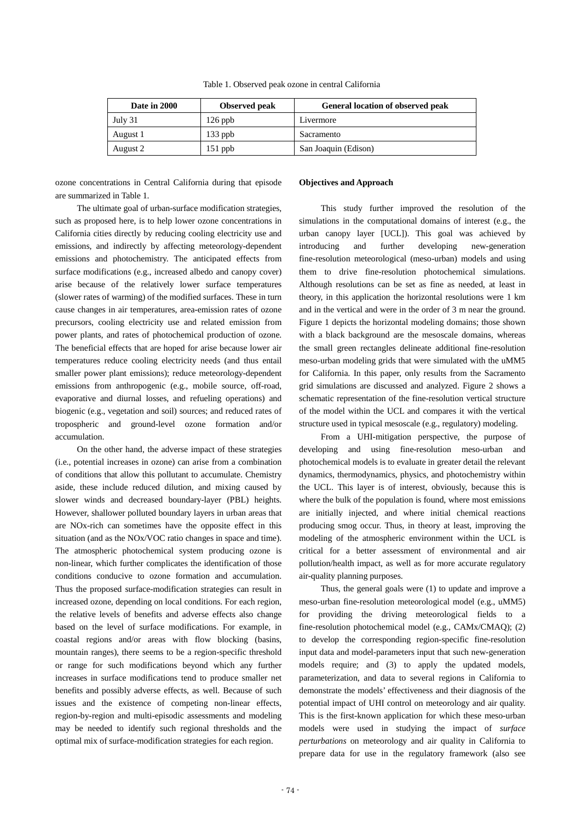Table 1. Observed peak ozone in central California

| Date in 2000 | <b>Observed</b> peak | General location of observed peak |
|--------------|----------------------|-----------------------------------|
| July 31      | $126$ ppb            | Livermore                         |
| August 1     | $133$ ppb            | Sacramento                        |
| August 2     | $151$ ppb            | San Joaquin (Edison)              |

ozone concentrations in Central California during that episode are summarized in Table 1.

The ultimate goal of urban-surface modification strategies, such as proposed here, is to help lower ozone concentrations in California cities directly by reducing cooling electricity use and emissions, and indirectly by affecting meteorology-dependent emissions and photochemistry. The anticipated effects from surface modifications (e.g., increased albedo and canopy cover) arise because of the relatively lower surface temperatures (slower rates of warming) of the modified surfaces. These in turn cause changes in air temperatures, area-emission rates of ozone precursors, cooling electricity use and related emission from power plants, and rates of photochemical production of ozone. The beneficial effects that are hoped for arise because lower air temperatures reduce cooling electricity needs (and thus entail smaller power plant emissions); reduce meteorology-dependent emissions from anthropogenic (e.g., mobile source, off-road, evaporative and diurnal losses, and refueling operations) and biogenic (e.g., vegetation and soil) sources; and reduced rates of tropospheric and ground-level ozone formation and/or accumulation.

On the other hand, the adverse impact of these strategies (i.e., potential increases in ozone) can arise from a combination of conditions that allow this pollutant to accumulate. Chemistry aside, these include reduced dilution, and mixing caused by slower winds and decreased boundary-layer (PBL) heights. However, shallower polluted boundary layers in urban areas that are NOx-rich can sometimes have the opposite effect in this situation (and as the NOx/VOC ratio changes in space and time). The atmospheric photochemical system producing ozone is non-linear, which further complicates the identification of those conditions conducive to ozone formation and accumulation. Thus the proposed surface-modification strategies can result in increased ozone, depending on local conditions. For each region, the relative levels of benefits and adverse effects also change based on the level of surface modifications. For example, in coastal regions and/or areas with flow blocking (basins, mountain ranges), there seems to be a region-specific threshold or range for such modifications beyond which any further increases in surface modifications tend to produce smaller net benefits and possibly adverse effects, as well. Because of such issues and the existence of competing non-linear effects, region-by-region and multi-episodic assessments and modeling may be needed to identify such regional thresholds and the optimal mix of surface-modification strategies for each region.

#### **Objectives and Approach**

This study further improved the resolution of the simulations in the computational domains of interest (e.g., the urban canopy layer [UCL]). This goal was achieved by introducing and further developing new-generation fine-resolution meteorological (meso-urban) models and using them to drive fine-resolution photochemical simulations. Although resolutions can be set as fine as needed, at least in theory, in this application the horizontal resolutions were 1 km and in the vertical and were in the order of 3 m near the ground. Figure 1 depicts the horizontal modeling domains; those shown with a black background are the mesoscale domains, whereas the small green rectangles delineate additional fine-resolution meso-urban modeling grids that were simulated with the uMM5 for California. In this paper, only results from the Sacramento grid simulations are discussed and analyzed. Figure 2 shows a schematic representation of the fine-resolution vertical structure of the model within the UCL and compares it with the vertical structure used in typical mesoscale (e.g., regulatory) modeling.

From a UHI-mitigation perspective, the purpose of developing and using fine-resolution meso-urban and photochemical models is to evaluate in greater detail the relevant dynamics, thermodynamics, physics, and photochemistry within the UCL. This layer is of interest, obviously, because this is where the bulk of the population is found, where most emissions are initially injected, and where initial chemical reactions producing smog occur. Thus, in theory at least, improving the modeling of the atmospheric environment within the UCL is critical for a better assessment of environmental and air pollution/health impact, as well as for more accurate regulatory air-quality planning purposes.

Thus, the general goals were (1) to update and improve a meso-urban fine-resolution meteorological model (e.g., uMM5) for providing the driving meteorological fields to a fine-resolution photochemical model (e.g., CAMx/CMAQ); (2) to develop the corresponding region-specific fine-resolution input data and model-parameters input that such new-generation models require; and (3) to apply the updated models, parameterization, and data to several regions in California to demonstrate the models' effectiveness and their diagnosis of the potential impact of UHI control on meteorology and air quality. This is the first-known application for which these meso-urban models were used in studying the impact of *surface perturbations* on meteorology and air quality in California to prepare data for use in the regulatory framework (also see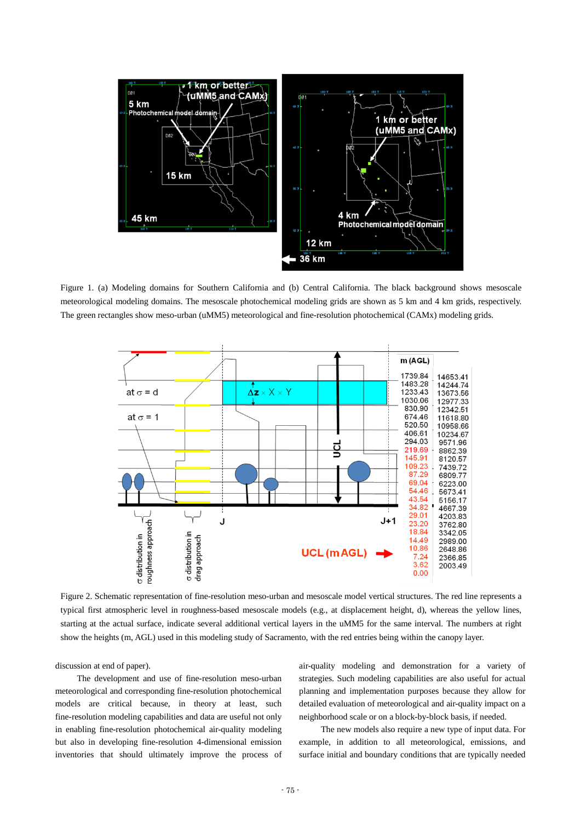

Figure 1. (a) Modeling domains for Southern California and (b) Central California. The black background shows mesoscale meteorological modeling domains. The mesoscale photochemical modeling grids are shown as 5 km and 4 km grids, respectively. The green rectangles show meso-urban (uMM5) meteorological and fine-resolution photochemical (CAMx) modeling grids.



Figure 2. Schematic representation of fine-resolution meso-urban and mesoscale model vertical structures. The red line represents a typical first atmospheric level in roughness-based mesoscale models (e.g., at displacement height, d), whereas the yellow lines, starting at the actual surface, indicate several additional vertical layers in the uMM5 for the same interval. The numbers at right show the heights (m, AGL) used in this modeling study of Sacramento, with the red entries being within the canopy layer.

discussion at end of paper).

The development and use of fine-resolution meso-urban meteorological and corresponding fine-resolution photochemical models are critical because, in theory at least, such fine-resolution modeling capabilities and data are useful not only in enabling fine-resolution photochemical air-quality modeling but also in developing fine-resolution 4-dimensional emission inventories that should ultimately improve the process of air-quality modeling and demonstration for a variety of strategies. Such modeling capabilities are also useful for actual planning and implementation purposes because they allow for detailed evaluation of meteorological and air-quality impact on a neighborhood scale or on a block-by-block basis, if needed.

The new models also require a new type of input data. For example, in addition to all meteorological, emissions, and surface initial and boundary conditions that are typically needed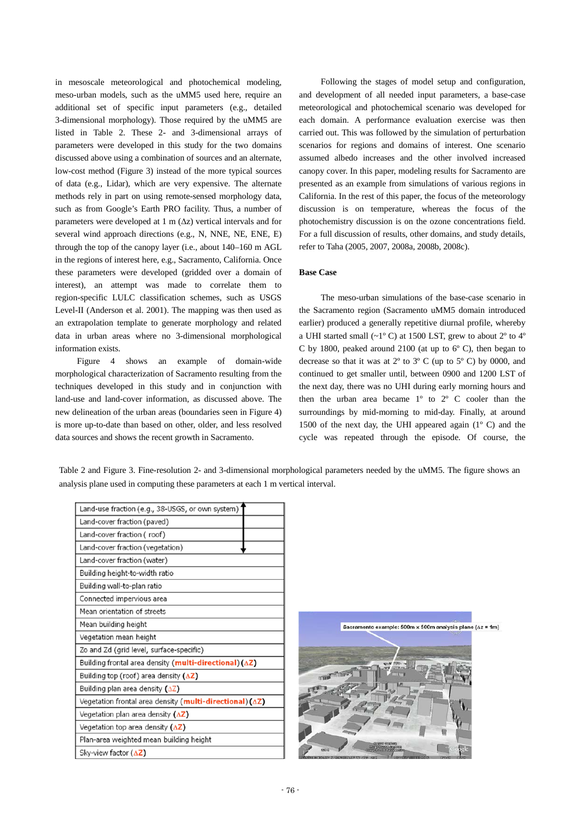in mesoscale meteorological and photochemical modeling, meso-urban models, such as the uMM5 used here, require an additional set of specific input parameters (e.g., detailed 3-dimensional morphology). Those required by the uMM5 are listed in Table 2. These 2- and 3-dimensional arrays of parameters were developed in this study for the two domains discussed above using a combination of sources and an alternate, low-cost method (Figure 3) instead of the more typical sources of data (e.g., Lidar), which are very expensive. The alternate methods rely in part on using remote-sensed morphology data, such as from Google's Earth PRO facility. Thus, a number of parameters were developed at 1 m (∆z) vertical intervals and for several wind approach directions (e.g., N, NNE, NE, ENE, E) through the top of the canopy layer (i.e., about 140–160 m AGL in the regions of interest here, e.g., Sacramento, California. Once these parameters were developed (gridded over a domain of interest), an attempt was made to correlate them to region-specific LULC classification schemes, such as USGS Level-II (Anderson et al. 2001). The mapping was then used as an extrapolation template to generate morphology and related data in urban areas where no 3-dimensional morphological information exists.

Figure 4 shows an example of domain-wide morphological characterization of Sacramento resulting from the techniques developed in this study and in conjunction with land-use and land-cover information, as discussed above. The new delineation of the urban areas (boundaries seen in Figure 4) is more up-to-date than based on other, older, and less resolved data sources and shows the recent growth in Sacramento.

Following the stages of model setup and configuration, and development of all needed input parameters, a base-case meteorological and photochemical scenario was developed for each domain. A performance evaluation exercise was then carried out. This was followed by the simulation of perturbation scenarios for regions and domains of interest. One scenario assumed albedo increases and the other involved increased canopy cover. In this paper, modeling results for Sacramento are presented as an example from simulations of various regions in California. In the rest of this paper, the focus of the meteorology discussion is on temperature, whereas the focus of the photochemistry discussion is on the ozone concentrations field. For a full discussion of results, other domains, and study details, refer to Taha (2005, 2007, 2008a, 2008b, 2008c).

# **Base Case**

The meso-urban simulations of the base-case scenario in the Sacramento region (Sacramento uMM5 domain introduced earlier) produced a generally repetitive diurnal profile, whereby a UHI started small (~1º C) at 1500 LST, grew to about 2º to 4º C by 1800, peaked around 2100 (at up to 6º C), then began to decrease so that it was at  $2^{\circ}$  to  $3^{\circ}$  C (up to  $5^{\circ}$  C) by 0000, and continued to get smaller until, between 0900 and 1200 LST of the next day, there was no UHI during early morning hours and then the urban area became 1º to 2º C cooler than the surroundings by mid-morning to mid-day. Finally, at around 1500 of the next day, the UHI appeared again  $(1^{\circ} \text{ C})$  and the cycle was repeated through the episode. Of course, the

Table 2 and Figure 3. Fine-resolution 2- and 3-dimensional morphological parameters needed by the uMM5. The figure shows an analysis plane used in computing these parameters at each 1 m vertical interval.

| Land-use fraction (e.g., 38-USGS, or own system)                            |  |  |
|-----------------------------------------------------------------------------|--|--|
| Land-cover fraction (paved)                                                 |  |  |
| Land-cover fraction (roof)                                                  |  |  |
| Land-cover fraction (vegetation)                                            |  |  |
| Land-cover fraction (water)                                                 |  |  |
| Building height-to-width ratio                                              |  |  |
| Building wall-to-plan ratio                                                 |  |  |
| Connected impervious area                                                   |  |  |
| Mean orientation of streets                                                 |  |  |
| Mean building height                                                        |  |  |
| Vegetation mean height                                                      |  |  |
| Zo and Zd (grid level, surface-specific)                                    |  |  |
| Building frontal area density (multi-directional)(∆Z)                       |  |  |
| Building top (roof) area density $(\Delta Z)$                               |  |  |
| Building plan area density $(\Delta Z)$                                     |  |  |
| Vegetation frontal area density ( <b>multi-directional</b> ) ( $\Delta Z$ ) |  |  |
| Vegetation plan area density $(\Delta Z)$                                   |  |  |
| Vegetation top area density $(\Delta Z)$                                    |  |  |
| Plan-area weighted mean building height                                     |  |  |
| Sky-view factor $(\Delta Z)$                                                |  |  |
|                                                                             |  |  |

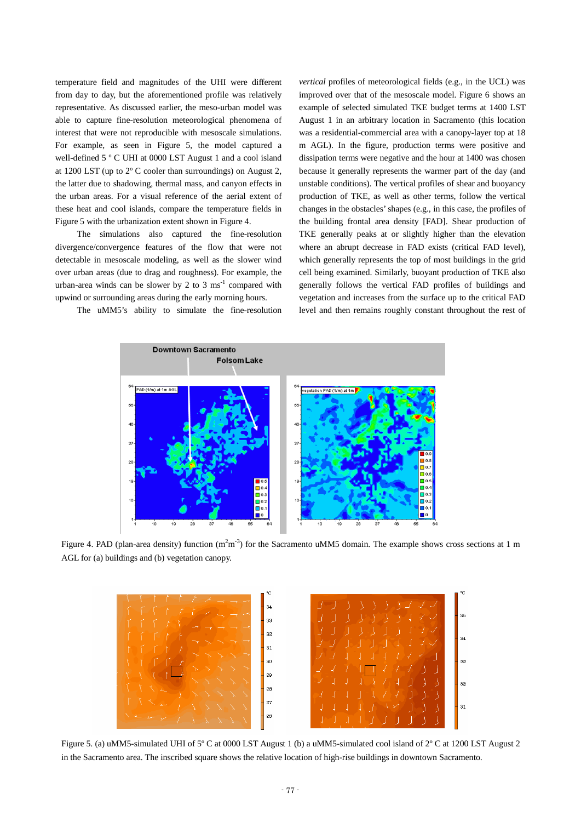temperature field and magnitudes of the UHI were different from day to day, but the aforementioned profile was relatively representative. As discussed earlier, the meso-urban model was able to capture fine-resolution meteorological phenomena of interest that were not reproducible with mesoscale simulations. For example, as seen in Figure 5, the model captured a well-defined 5 º C UHI at 0000 LST August 1 and a cool island at 1200 LST (up to 2º C cooler than surroundings) on August 2, the latter due to shadowing, thermal mass, and canyon effects in the urban areas. For a visual reference of the aerial extent of these heat and cool islands, compare the temperature fields in Figure 5 with the urbanization extent shown in Figure 4.

The simulations also captured the fine-resolution divergence/convergence features of the flow that were not detectable in mesoscale modeling, as well as the slower wind over urban areas (due to drag and roughness). For example, the urban-area winds can be slower by 2 to 3  $\text{ms}^{-1}$  compared with upwind or surrounding areas during the early morning hours.

The uMM5's ability to simulate the fine-resolution

*vertical* profiles of meteorological fields (e.g., in the UCL) was improved over that of the mesoscale model. Figure 6 shows an example of selected simulated TKE budget terms at 1400 LST August 1 in an arbitrary location in Sacramento (this location was a residential-commercial area with a canopy-layer top at 18 m AGL). In the figure, production terms were positive and dissipation terms were negative and the hour at 1400 was chosen because it generally represents the warmer part of the day (and unstable conditions). The vertical profiles of shear and buoyancy production of TKE, as well as other terms, follow the vertical changes in the obstacles' shapes (e.g., in this case, the profiles of the building frontal area density [FAD]. Shear production of TKE generally peaks at or slightly higher than the elevation where an abrupt decrease in FAD exists (critical FAD level), which generally represents the top of most buildings in the grid cell being examined. Similarly, buoyant production of TKE also generally follows the vertical FAD profiles of buildings and vegetation and increases from the surface up to the critical FAD level and then remains roughly constant throughout the rest of



Figure 4. PAD (plan-area density) function  $(m<sup>2</sup>m<sup>-3</sup>)$  for the Sacramento uMM5 domain. The example shows cross sections at 1 m AGL for (a) buildings and (b) vegetation canopy.



Figure 5. (a) uMM5-simulated UHI of 5º C at 0000 LST August 1 (b) a uMM5-simulated cool island of 2º C at 1200 LST August 2 in the Sacramento area. The inscribed square shows the relative location of high-rise buildings in downtown Sacramento.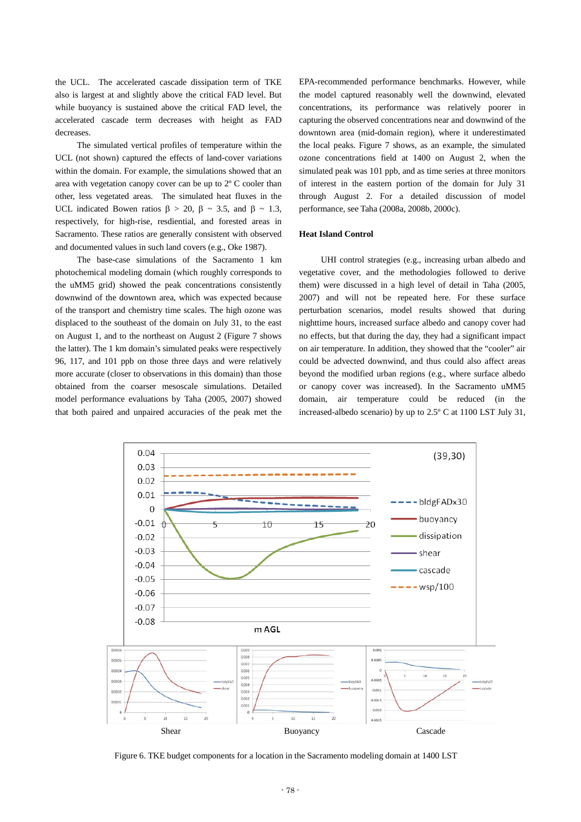the UCL. The accelerated cascade dissipation term of TKE also is largest at and slightly above the critical FAD level. But while buoyancy is sustained above the critical FAD level, the accelerated cascade term decreases with height as FAD decreases.

The simulated vertical profiles of temperature within the UCL (not shown) captured the effects of land-cover variations within the domain. For example, the simulations showed that an area with vegetation canopy cover can be up to 2º C cooler than other, less vegetated areas. The simulated heat fluxes in the UCL indicated Bowen ratios  $\beta$  > 20,  $\beta$  ~ 3.5, and  $\beta$  ~ 1.3, respectively, for high-rise, resdiential, and forested areas in Sacramento. These ratios are generally consistent with observed and documented values in such land covers (e.g., Oke 1987).

The base-case simulations of the Sacramento 1 km photochemical modeling domain (which roughly corresponds to the uMM5 grid) showed the peak concentrations consistently downwind of the downtown area, which was expected because of the transport and chemistry time scales. The high ozone was displaced to the southeast of the domain on July 31, to the east on August 1, and to the northeast on August 2 (Figure 7 shows the latter). The 1 km domain's simulated peaks were respectively 96, 117, and 101 ppb on those three days and were relatively more accurate (closer to observations in this domain) than those obtained from the coarser mesoscale simulations. Detailed model performance evaluations by Taha (2005, 2007) showed that both paired and unpaired accuracies of the peak met the

EPA-recommended performance benchmarks. However, while the model captured reasonably well the downwind, elevated concentrations, its performance was relatively poorer in capturing the observed concentrations near and downwind of the downtown area (mid-domain region), where it underestimated the local peaks. Figure 7 shows, as an example, the simulated ozone concentrations field at 1400 on August 2, when the simulated peak was 101 ppb, and as time series at three monitors of interest in the eastern portion of the domain for July 31 through August 2. For a detailed discussion of model performance, see Taha (2008a, 2008b, 2000c).

# **Heat Island Control**

UHI control strategies (e.g., increasing urban albedo and vegetative cover, and the methodologies followed to derive them) were discussed in a high level of detail in Taha (2005, 2007) and will not be repeated here. For these surface perturbation scenarios, model results showed that during nighttime hours, increased surface albedo and canopy cover had no effects, but that during the day, they had a significant impact on air temperature. In addition, they showed that the "cooler" air could be advected downwind, and thus could also affect areas beyond the modified urban regions (e.g., where surface albedo or canopy cover was increased). In the Sacramento uMM5 domain, air temperature could be reduced (in the increased-albedo scenario) by up to 2.5º C at 1100 LST July 31,



Figure 6. TKE budget components for a location in the Sacramento modeling domain at 1400 LST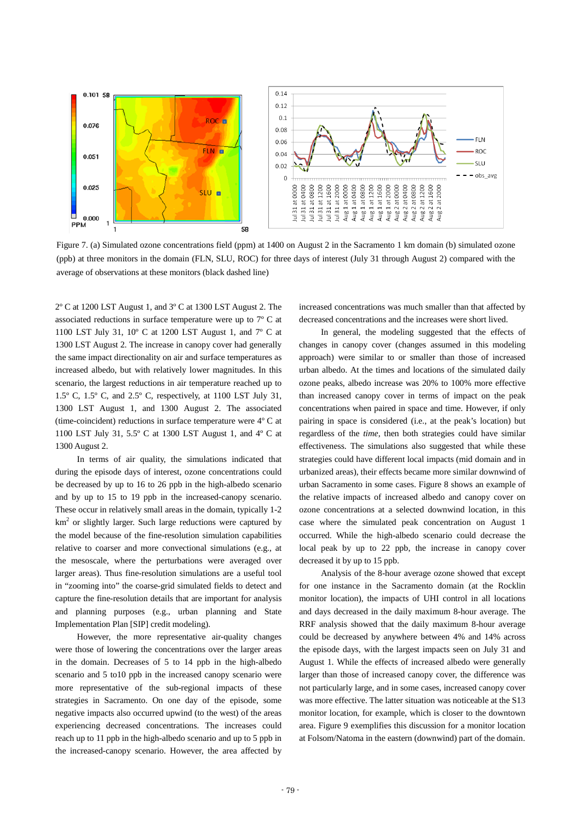

Figure 7. (a) Simulated ozone concentrations field (ppm) at 1400 on August 2 in the Sacramento 1 km domain (b) simulated ozone (ppb) at three monitors in the domain (FLN, SLU, ROC) for three days of interest (July 31 through August 2) compared with the average of observations at these monitors (black dashed line)

2º C at 1200 LST August 1, and 3º C at 1300 LST August 2. The associated reductions in surface temperature were up to 7º C at 1100 LST July 31, 10º C at 1200 LST August 1, and 7º C at 1300 LST August 2. The increase in canopy cover had generally the same impact directionality on air and surface temperatures as increased albedo, but with relatively lower magnitudes. In this scenario, the largest reductions in air temperature reached up to 1.5º C, 1.5º C, and 2.5º C, respectively, at 1100 LST July 31, 1300 LST August 1, and 1300 August 2. The associated (time-coincident) reductions in surface temperature were 4º C at 1100 LST July 31, 5.5º C at 1300 LST August 1, and 4º C at 1300 August 2.

In terms of air quality, the simulations indicated that during the episode days of interest, ozone concentrations could be decreased by up to 16 to 26 ppb in the high-albedo scenario and by up to 15 to 19 ppb in the increased-canopy scenario. These occur in relatively small areas in the domain, typically 1-2  $km<sup>2</sup>$  or slightly larger. Such large reductions were captured by the model because of the fine-resolution simulation capabilities relative to coarser and more convectional simulations (e.g., at the mesoscale, where the perturbations were averaged over larger areas). Thus fine-resolution simulations are a useful tool in "zooming into" the coarse-grid simulated fields to detect and capture the fine-resolution details that are important for analysis and planning purposes (e.g., urban planning and State Implementation Plan [SIP] credit modeling).

However, the more representative air-quality changes were those of lowering the concentrations over the larger areas in the domain. Decreases of 5 to 14 ppb in the high-albedo scenario and 5 to10 ppb in the increased canopy scenario were more representative of the sub-regional impacts of these strategies in Sacramento. On one day of the episode, some negative impacts also occurred upwind (to the west) of the areas experiencing decreased concentrations. The increases could reach up to 11 ppb in the high-albedo scenario and up to 5 ppb in the increased-canopy scenario. However, the area affected by

increased concentrations was much smaller than that affected by decreased concentrations and the increases were short lived.

In general, the modeling suggested that the effects of changes in canopy cover (changes assumed in this modeling approach) were similar to or smaller than those of increased urban albedo. At the times and locations of the simulated daily ozone peaks, albedo increase was 20% to 100% more effective than increased canopy cover in terms of impact on the peak concentrations when paired in space and time. However, if only pairing in space is considered (i.e., at the peak's location) but regardless of the *time*, then both strategies could have similar effectiveness. The simulations also suggested that while these strategies could have different local impacts (mid domain and in urbanized areas), their effects became more similar downwind of urban Sacramento in some cases. Figure 8 shows an example of the relative impacts of increased albedo and canopy cover on ozone concentrations at a selected downwind location, in this case where the simulated peak concentration on August 1 occurred. While the high-albedo scenario could decrease the local peak by up to 22 ppb, the increase in canopy cover decreased it by up to 15 ppb.

Analysis of the 8-hour average ozone showed that except for one instance in the Sacramento domain (at the Rocklin monitor location), the impacts of UHI control in all locations and days decreased in the daily maximum 8-hour average. The RRF analysis showed that the daily maximum 8-hour average could be decreased by anywhere between 4% and 14% across the episode days, with the largest impacts seen on July 31 and August 1. While the effects of increased albedo were generally larger than those of increased canopy cover, the difference was not particularly large, and in some cases, increased canopy cover was more effective. The latter situation was noticeable at the S13 monitor location, for example, which is closer to the downtown area. Figure 9 exemplifies this discussion for a monitor location at Folsom/Natoma in the eastern (downwind) part of the domain.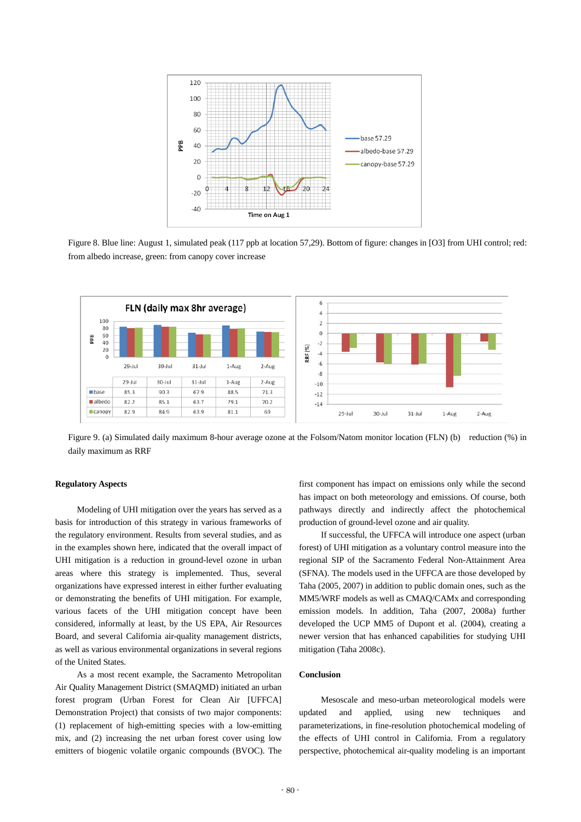

Figure 8. Blue line: August 1, simulated peak (117 ppb at location 57,29). Bottom of figure: changes in [O3] from UHI control; red: from albedo increase, green: from canopy cover increase



Figure 9. (a) Simulated daily maximum 8-hour average ozone at the Folsom/Natom monitor location (FLN) (b) reduction (%) in daily maximum as RRF

# **Regulatory Aspects**

Modeling of UHI mitigation over the years has served as a basis for introduction of this strategy in various frameworks of the regulatory environment. Results from several studies, and as in the examples shown here, indicated that the overall impact of UHI mitigation is a reduction in ground-level ozone in urban areas where this strategy is implemented. Thus, several organizations have expressed interest in either further evaluating or demonstrating the benefits of UHI mitigation. For example, various facets of the UHI mitigation concept have been considered, informally at least, by the US EPA, Air Resources Board, and several California air-quality management districts, as well as various environmental organizations in several regions of the United States.

As a most recent example, the Sacramento Metropolitan Air Quality Management District (SMAQMD) initiated an urban forest program (Urban Forest for Clean Air [UFFCA] Demonstration Project) that consists of two major components: (1) replacement of high-emitting species with a low-emitting mix, and (2) increasing the net urban forest cover using low emitters of biogenic volatile organic compounds (BVOC). The

first component has impact on emissions only while the second has impact on both meteorology and emissions. Of course, both pathways directly and indirectly affect the photochemical production of ground-level ozone and air quality.

If successful, the UFFCA will introduce one aspect (urban forest) of UHI mitigation as a voluntary control measure into the regional SIP of the Sacramento Federal Non-Attainment Area (SFNA). The models used in the UFFCA are those developed by Taha (2005, 2007) in addition to public domain ones, such as the MM5/WRF models as well as CMAQ/CAMx and corresponding emission models. In addition, Taha (2007, 2008a) further developed the UCP MM5 of Dupont et al. (2004), creating a newer version that has enhanced capabilities for studying UHI mitigation (Taha 2008c).

## **Conclusion**

Mesoscale and meso-urban meteorological models were updated and applied, using new techniques and parameterizations, in fine-resolution photochemical modeling of the effects of UHI control in California. From a regulatory perspective, photochemical air-quality modeling is an important